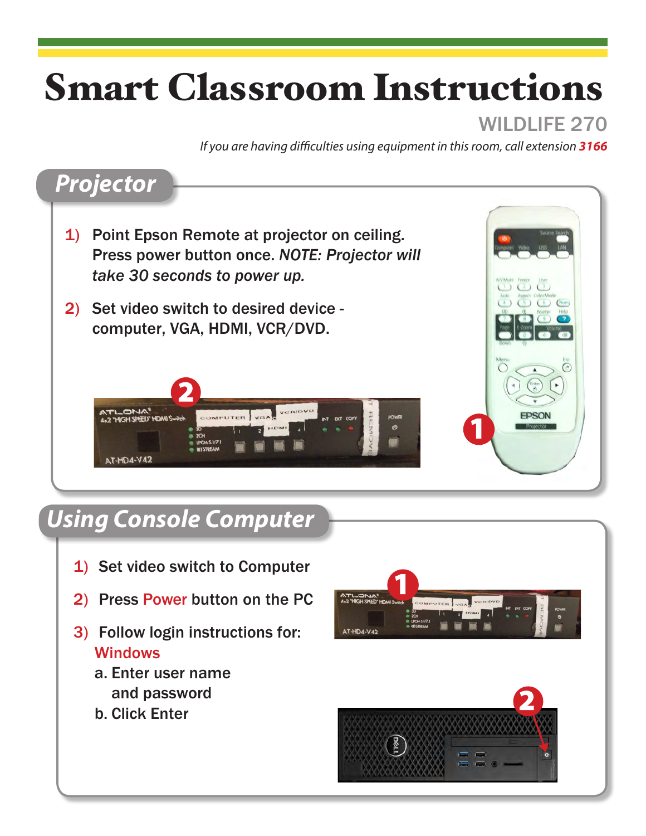# Smart Classroom Instructions

### WILDLIFF 270

*If you are having difficulties using equipment in this room, call extension 3166*



### *Using Console Computer*

- 1) Set video switch to Computer
- 2) Press Power button on the PC
- 3) Follow login instructions for: **Windows** 
	- a. Enter user name and password
	- b. Click Enter



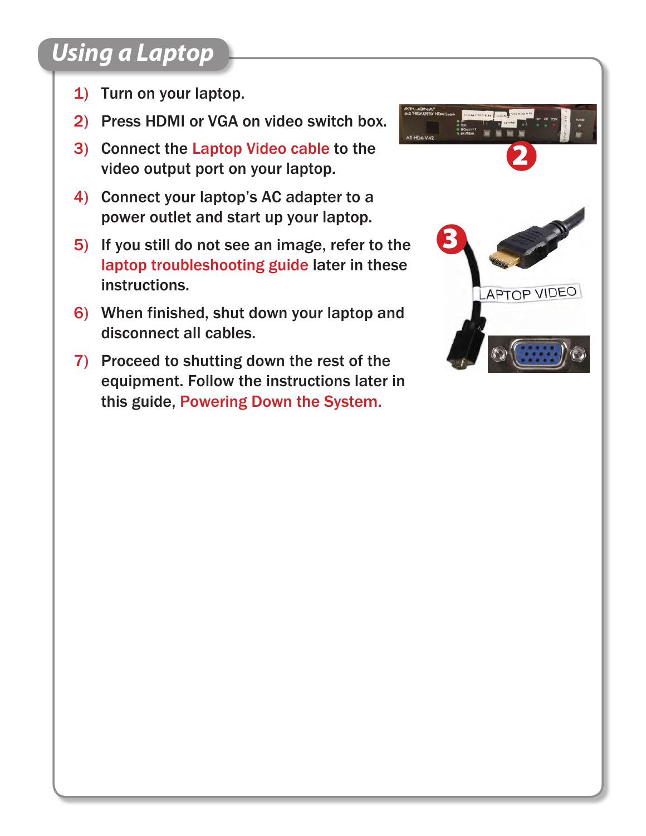### *Using a Laptop*

- 1) Turn on your laptop.
- 2) Press HDMI or VGA on video switch box.
- 3) Connect the Laptop Video cable to the video output port on your laptop.
- 4) Connect your laptop's AC adapter to a power outlet and start up your laptop.
- 5) If you still do not see an image, refer to the laptop troubleshooting guide later in these instructions.
- 6) When finished, shut down your laptop and disconnect all cables.
- 7) Proceed to shutting down the rest of the equipment. Follow the instructions later in this guide, Powering Down the System.

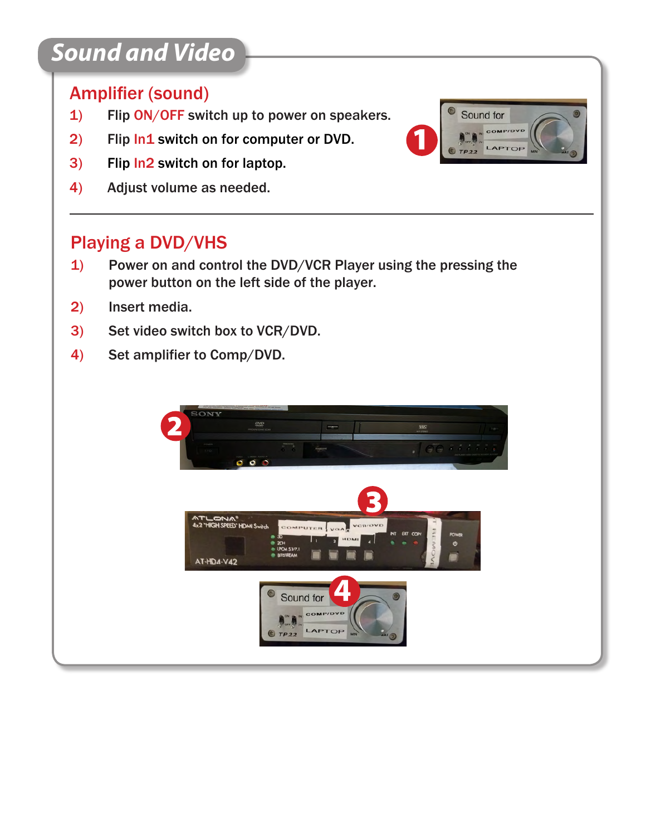# *Sound and Video*

### Amplifier (sound)

- 1) Flip ON/OFF switch up to power on speakers.
- 2) Flip In1 switch on for computer or DVD.
- 3) Flip In2 switch on for laptop.
- 4) Adjust volume as needed.

### Playing a DVD/VHS

- 1) Power on and control the DVD/VCR Player using the pressing the power button on the left side of the player.
- 2) Insert media.
- 3) Set video switch box to VCR/DVD.
- 4) Set amplifier to Comp/DVD.